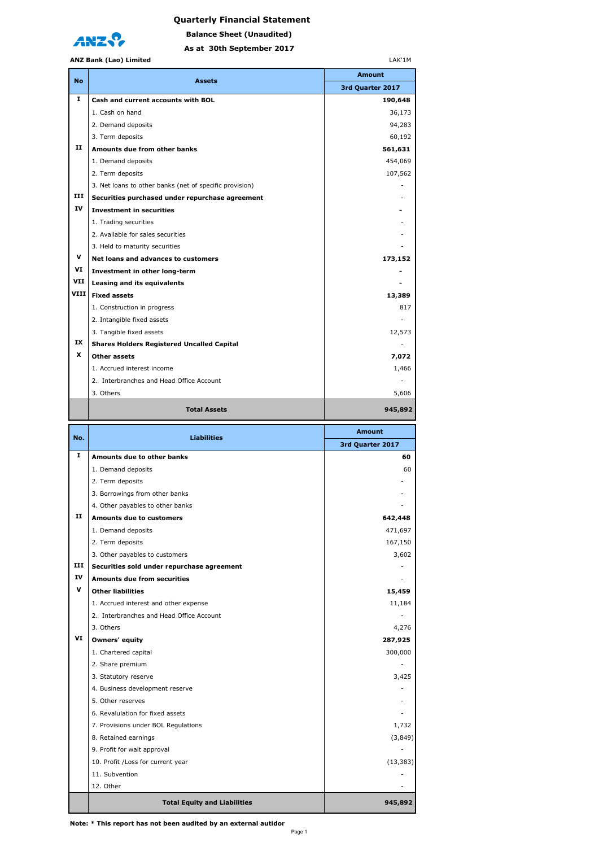



**As at 30th September 2017 Balance Sheet (Unaudited)**

## **ANZ Bank (Lao) Limited**

|              | ANZ Bank (Lao) Limited                                  | LAK'1M           |
|--------------|---------------------------------------------------------|------------------|
|              | <b>Assets</b>                                           | <b>Amount</b>    |
| <b>No</b>    |                                                         | 3rd Quarter 2017 |
| 1            | Cash and current accounts with BOL                      | 190,648          |
|              | 1. Cash on hand                                         | 36,173           |
|              | 2. Demand deposits                                      | 94,283           |
|              | 3. Term deposits                                        | 60,192           |
| $\mathbf{H}$ | Amounts due from other banks                            | 561,631          |
|              | 1. Demand deposits                                      | 454,069          |
|              | 2. Term deposits                                        | 107,562          |
|              | 3. Net loans to other banks (net of specific provision) |                  |
| ш            | Securities purchased under repurchase agreement         |                  |
| ΙV           | <b>Investment in securities</b>                         |                  |
|              | 1. Trading securities                                   |                  |
|              | 2. Available for sales securities                       |                  |
|              | 3. Held to maturity securities                          |                  |
| v            | Net loans and advances to customers                     | 173,152          |
| VI           | Investment in other long-term                           |                  |
| VII          | Leasing and its equivalents                             |                  |
| VIII         | <b>Fixed assets</b>                                     | 13,389           |
|              | 1. Construction in progress                             | 817              |
|              | 2. Intangible fixed assets                              |                  |
|              | 3. Tangible fixed assets                                | 12,573           |
| IX           | <b>Shares Holders Registered Uncalled Capital</b>       |                  |
| X            | Other assets                                            | 7,072            |
|              | 1. Accrued interest income                              | 1,466            |
|              | 2. Interbranches and Head Office Account                |                  |
|              | 3. Others                                               | 5,606            |
|              | <b>Total Assets</b>                                     | 945,892          |
| No.          | <b>Liabilities</b>                                      | <b>Amount</b>    |
|              |                                                         | 3rd Quarter 2017 |
| $\mathbf{I}$ | Amounts due to other banks                              | 60               |
|              | 1. Demand deposits                                      | 60               |
|              | 2. Term deposits                                        |                  |
|              | 3. Borrowings from other banks                          |                  |
|              | 4. Other payables to other banks                        |                  |
| $\mathbf{H}$ | Amounts due to customers                                | 642,448          |
|              | 1. Demand deposits                                      | 471,697          |
|              | 2. Term deposits                                        | 167,150          |
|              | 3. Other payables to customers                          | 3,602            |

|    | <b>Total Equity and Liabilities</b>        | 945,892   |
|----|--------------------------------------------|-----------|
|    | 12. Other                                  |           |
|    | 11. Subvention                             |           |
|    | 10. Profit / Loss for current year         | (13, 383) |
|    | 9. Profit for wait approval                |           |
|    | 8. Retained earnings                       | (3,849)   |
|    | 7. Provisions under BOL Regulations        | 1,732     |
|    | 6. Revalulation for fixed assets           |           |
|    | 5. Other reserves                          |           |
|    | 4. Business development reserve            |           |
|    | 3. Statutory reserve                       | 3,425     |
|    | 2. Share premium                           |           |
|    | 1. Chartered capital                       | 300,000   |
| VI | Owners' equity                             | 287,925   |
|    | 3. Others                                  | 4,276     |
|    | 2. Interbranches and Head Office Account   |           |
|    | 1. Accrued interest and other expense      | 11,184    |
| v  | <b>Other liabilities</b>                   | 15,459    |
| IV | <b>Amounts due from securities</b>         |           |
| ш  | Securities sold under repurchase agreement |           |
|    | 3. Other payables to customers             | 3,602     |
|    | 2. Term deposits                           | 167,150   |
|    | 1. Demand deposits                         | 471,697   |
| п  | <b>Amounts due to customers</b>            | 642,448   |
|    | 4. Other payables to other banks           |           |
|    | 3. Borrowings from other banks             |           |
|    | 1. Demand deposits<br>2. Term deposits     | 60        |
|    |                                            |           |

**Note: \* This report has not been audited by an external autidor**